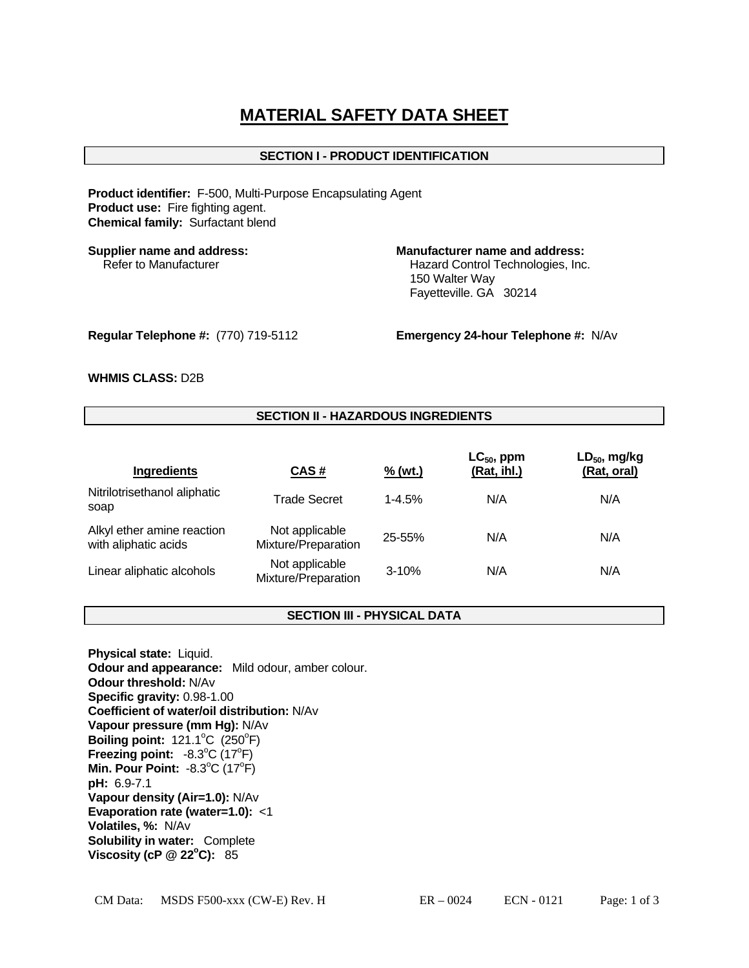# **MATERIAL SAFETY DATA SHEET**

# **SECTION I - PRODUCT IDENTIFICATION**

**Product identifier:** F-500, Multi-Purpose Encapsulating Agent **Product use:** Fire fighting agent. **Chemical family:** Surfactant blend

## **Supplier name and address: Manufacturer name and address:**

Refer to Manufacturer **Hazard Control Technologies**, Inc. 150 Walter Way Fayetteville. GA 30214

**Regular Telephone #:** (770) 719-5112 **Emergency 24-hour Telephone #:** N/Av

## **WHMIS CLASS:** D2B

# **SECTION II - HAZARDOUS INGREDIENTS**

| Ingredients                                        | CAS#                                  | $\frac{9}{6}$ (wt.) | $LC_{50}$ , ppm<br>(Rat, ihl.) | $LD_{50}$ , mg/kg<br>(Rat, oral) |
|----------------------------------------------------|---------------------------------------|---------------------|--------------------------------|----------------------------------|
| Nitrilotrisethanol aliphatic<br>soap               | <b>Trade Secret</b>                   | $1 - 4.5%$          | N/A                            | N/A                              |
| Alkyl ether amine reaction<br>with aliphatic acids | Not applicable<br>Mixture/Preparation | 25-55%              | N/A                            | N/A                              |
| Linear aliphatic alcohols                          | Not applicable<br>Mixture/Preparation | $3 - 10%$           | N/A                            | N/A                              |

# **SECTION III - PHYSICAL DATA**

**Physical state:** Liquid. **Odour and appearance:** Mild odour, amber colour. **Odour threshold:** N/Av **Specific gravity:** 0.98-1.00 **Coefficient of water/oil distribution:** N/Av **Vapour pressure (mm Hg):** N/Av **Boiling point:**  $121.1^{\circ}$ C ( $250^{\circ}$ F) **Freezing point:**  $-8.3^{\circ}$ C (17<sup>o</sup>F) **Min. Pour Point: -8.3°C (17°F) pH:** 6.9-7.1 **Vapour density (Air=1.0):** N/Av **Evaporation rate (water=1.0):** <1 **Volatiles, %:** N/Av **Solubility in water:** Complete **Viscosity (cP @ 22°C):** 85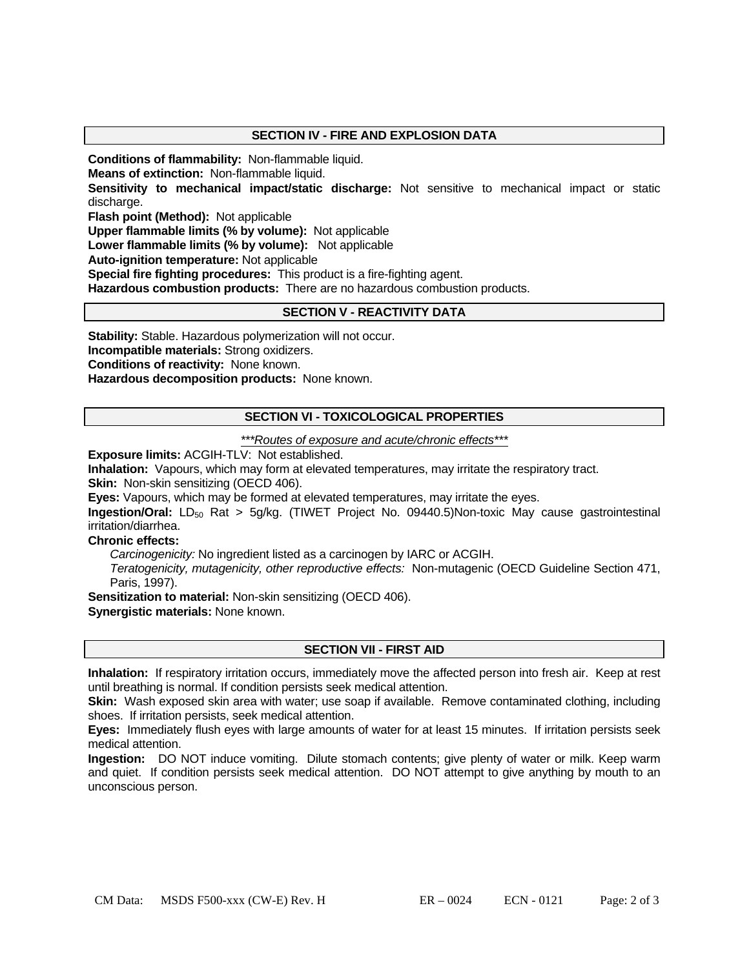# **SECTION IV - FIRE AND EXPLOSION DATA**

**Conditions of flammability:** Non-flammable liquid.

**Means of extinction:** Non-flammable liquid.

**Sensitivity to mechanical impact/static discharge:** Not sensitive to mechanical impact or static discharge.

**Flash point (Method):** Not applicable

**Upper flammable limits (% by volume):** Not applicable

**Lower flammable limits (% by volume):** Not applicable

**Auto-ignition temperature:** Not applicable

**Special fire fighting procedures:** This product is a fire-fighting agent.

**Hazardous combustion products:** There are no hazardous combustion products.

# **SECTION V - REACTIVITY DATA**

**Stability:** Stable. Hazardous polymerization will not occur.

**Incompatible materials:** Strong oxidizers.

**Conditions of reactivity:** None known.

**Hazardous decomposition products:** None known.

# **SECTION VI - TOXICOLOGICAL PROPERTIES**

#### *\*\*\*Routes of exposure and acute/chronic effects\*\*\**

**Exposure limits:** ACGIH-TLV: Not established.

**Inhalation:** Vapours, which may form at elevated temperatures, may irritate the respiratory tract.

**Skin:** Non-skin sensitizing (OECD 406).

**Eyes:** Vapours, which may be formed at elevated temperatures, may irritate the eyes.

**Ingestion/Oral:** LD<sub>50</sub> Rat > 5g/kg. (TIWET Project No. 09440.5)Non-toxic May cause gastrointestinal irritation/diarrhea.

**Chronic effects:** 

 *Carcinogenicity:* No ingredient listed as a carcinogen by IARC or ACGIH.

 *Teratogenicity, mutagenicity, other reproductive effects:* Non-mutagenic (OECD Guideline Section 471, Paris, 1997).

**Sensitization to material:** Non-skin sensitizing (OECD 406).

**Synergistic materials:** None known.

# **SECTION VII - FIRST AID**

**Inhalation:** If respiratory irritation occurs, immediately move the affected person into fresh air. Keep at rest until breathing is normal. If condition persists seek medical attention.

**Skin:** Wash exposed skin area with water; use soap if available. Remove contaminated clothing, including shoes. If irritation persists, seek medical attention.

**Eyes:** Immediately flush eyes with large amounts of water for at least 15 minutes. If irritation persists seek medical attention.

**Ingestion:** DO NOT induce vomiting. Dilute stomach contents; give plenty of water or milk. Keep warm and quiet. If condition persists seek medical attention. DO NOT attempt to give anything by mouth to an unconscious person.